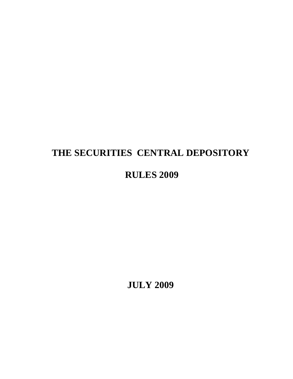# **THE SECURITIES CENTRAL DEPOSITORY**

# **RULES 2009**

**JULY 2009**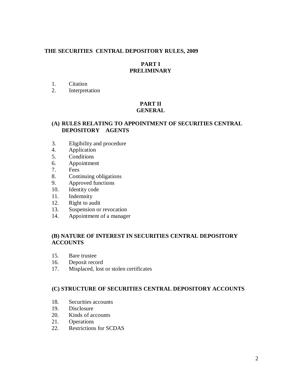## **THE SECURITIES CENTRAL DEPOSITORY RULES, 2009**

## **PART I PRELIMINARY**

- 1. Citation
- 2. Interpretation

#### **PART II GENERAL**

## **(A) RULES RELATING TO APPOINTMENT OF SECURITIES CENTRAL DEPOSITORY AGENTS**

- 3. Eligibility and procedure
- 4. Application
- 5. Conditions
- 6. Appointment
- 7. Fees
- 8. Continuing obligations
- 9. Approved functions
- 10. Identity code
- 11. Indemnity
- 12. Right to audit
- 13. Suspension or revocation
- 14. Appointment of a manager

## **(B) NATURE OF INTEREST IN SECURITIES CENTRAL DEPOSITORY ACCOUNTS**

- 15. Bare trustee
- 16. Deposit record
- 17. Misplaced, lost or stolen certificates

# **(C) STRUCTURE OF SECURITIES CENTRAL DEPOSITORY ACCOUNTS**

- 18. Securities accounts
- 19. Disclosure
- 20. Kinds of accounts
- 21. Operations
- 22. Restrictions for SCDAS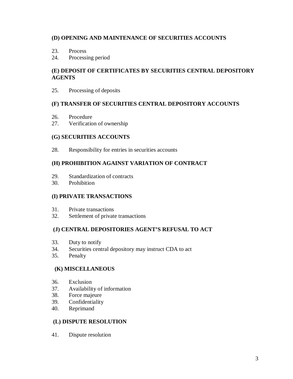# **(D) OPENING AND MAINTENANCE OF SECURITIES ACCOUNTS**

- 23. Process
- 24. Processing period

# **(E) DEPOSIT OF CERTIFICATES BY SECURITIES CENTRAL DEPOSITORY AGENTS**

25. Processing of deposits

# **(F) TRANSFER OF SECURITIES CENTRAL DEPOSITORY ACCOUNTS**

- 26. Procedure
- 27. Verification of ownership

# **(G) SECURITIES ACCOUNTS**

28. Responsibility for entries in securities accounts

# **(H) PROHIBITION AGAINST VARIATION OF CONTRACT**

- 29. Standardization of contracts
- 30. Prohibition

# **(I) PRIVATE TRANSACTIONS**

- 31. Private transactions
- 32. Settlement of private transactions

# **(J) CENTRAL DEPOSITORIES AGENT'S REFUSAL TO ACT**

- 33. Duty to notify
- 34. Securities central depository may instruct CDA to act
- 35. Penalty

# **(K) MISCELLANEOUS**

- 36. Exclusion
- 37. Availability of information
- 38. Force majeure
- 39. Confidentiality
- 40. Reprimand

# **(L) DISPUTE RESOLUTION**

41. Dispute resolution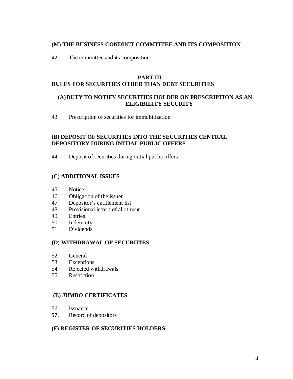## **(M) THE BUSINESS CONDUCT COMMITTEE AND ITS COMPOSITION**

42. The committee and its composition

## **PART III RULES FOR SECURITIES OTHER THAN DEBT SECURITIES**

# **(A)DUTY TO NOTIFY SECURITIES HOLDER ON PRESCRIPTION AS AN ELIGIBILITY SECURITY**

43. Prescription of securities for immobilization

## **(B) DEPOSIT OF SECURITIES INTO THE SECURITIES CENTRAL DEPOSITORY DURING INITIAL PUBLIC OFFERS**

44. Deposit of securities during initial public offers

# **(C) ADDITIONAL ISSUES**

- 45. Notice
- 46. Obligation of the issuer
- 47. Depositor's entitlement list
- 48. Provisional letters of allotment
- 49. Entries
- 50. Indemnity
- 51. Dividends

# **(D) WITHDRAWAL OF SECURITIES**

- 52. General
- 53. Exceptions
- 54. Rejected withdrawals
- 55. Restriction

## **(E) JUMBO CERTIFICATES**

- 56. Issuance
- **57.** Record of depositors

#### **(F) REGISTER OF SECURITIES HOLDERS**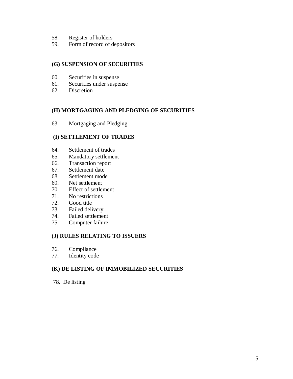- 58. Register of holders
- 59. Form of record of depositors

# **(G) SUSPENSION OF SECURITIES**

- 60. Securities in suspense
- 61. Securities under suspense
- 62. Discretion

## **(H) MORTGAGING AND PLEDGING OF SECURITIES**

63. Mortgaging and Pledging

#### **(I) SETTLEMENT OF TRADES**

- 64. Settlement of trades
- 65. Mandatory settlement
- 66. Transaction report
- 67. Settlement date
- 68. Settlement mode
- 69. Net settlement
- 70. Effect of settlement
- 71. No restrictions
- 72. Good title
- 73. Failed delivery
- 74. Failed settlement
- 75. Computer failure

#### **(J) RULES RELATING TO ISSUERS**

- 76. Compliance
- 77. Identity code

# **(K) DE LISTING OF IMMOBILIZED SECURITIES**

78. De listing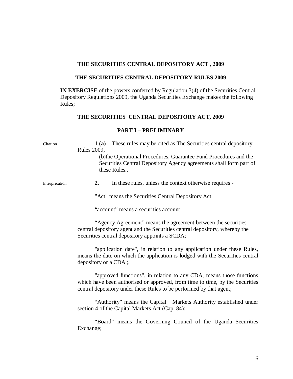#### **THE SECURITIES CENTRAL DEPOSITORY ACT , 2009**

#### **THE SECURITIES CENTRAL DEPOSITORY RULES 2009**

**IN EXERCISE** of the powers conferred by Regulation 3(4) of the Securities Central Depository Regulations 2009, the Uganda Securities Exchange makes the following Rules;

#### **THE SECURITIES CENTRAL DEPOSITORY ACT, 2009**

#### **PART I – PRELIMINARY**

Citation **1 (a)** These rules may be cited as The Securities central depository Rules 2009, (b)the Operational Procedures, Guarantee Fund Procedures and the Securities Central Depository Agency agreements shall form part of these Rules.. Interpretation **2.** In these rules, unless the context otherwise requires - "Act" means the Securities Central Depository Act "account" means a securities account "Agency Agreement" means the agreement between the securities central depository agent and the Securities central depository, whereby the Securities central depository appoints a SCDA; "application date", in relation to any application under these Rules, means the date on which the application is lodged with the Securities central depository or a CDA ;*.* "approved functions", in relation to any CDA, means those functions which have been authorised or approved, from time to time, by the Securities central depository under these Rules to be performed by that agent; "Authority" means the Capital Markets Authority established under section 4 of the Capital Markets Act (Cap. 84); "Board" means the Governing Council of the Uganda Securities Exchange;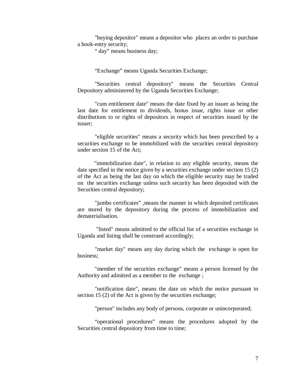"buying depositor" means a depositor who places an order to purchase a book-entry security;

" day" means business day;

"Exchange" means Uganda Securities Exchange;

"Securities central depository" means the Securities Central Depository administered by the Uganda Securities Exchange;

"cum entitlement date" means the date fixed by an issuer as being the last date for entitlement to dividends, bonus issue, rights issue or other distributions to or rights of depositors in respect of securities issued by the issuer;

"eligible securities" means a security which has been prescribed by a securities exchange to be immobilized with the securities central depository under section 15 of the Act;

"immobilization date", in relation to any eligible security, means the date specified in the notice given by a securities exchange under section 15 (2) of the Act as being the last day on which the eligible security may be traded on the securities exchange unless such security has been deposited with the Securities central depository;

"jumbo certificates" ,means the manner in which deposited certificates are stored by the depository during the process of immobilization and dematerialisation.

"listed" means admitted to the official list of a securities exchange in Uganda and listing shall be construed accordingly;

"market day" means any day during which the exchange is open for business;

"member of the securities exchange" means a person licensed by the Authority and admitted as a member to the exchange ;

"notification date", means the date on which the notice pursuant to section 15 (2) of the Act is given by the securities exchange;

"person" includes any body of persons, corporate or unincorporated;

"operational procedures" means the procedures adopted by the Securities central depository from time to time;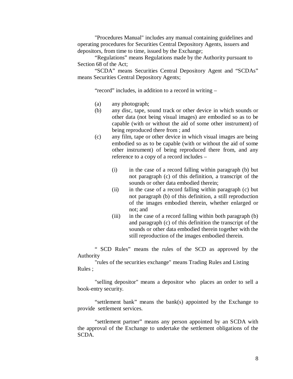"Procedures Manual" includes any manual containing guidelines and operating procedures for Securities Central Depository Agents, issuers and depositors, from time to time, issued by the Exchange;

"Regulations" means Regulations made by the Authority pursuant to Section 68 of the Act;

"SCDA" means Securities Central Depository Agent and "SCDAs" means Securities Central Depository Agents;

"record" includes, in addition to a record in writing –

- (a) any photograph;
- (b) any disc, tape, sound track or other device in which sounds or other data (not being visual images) are embodied so as to be capable (with or without the aid of some other instrument) of being reproduced there from ; and
- (c) any film, tape or other device in which visual images are being embodied so as to be capable (with or without the aid of some other instrument) of being reproduced there from, and any reference to a copy of a record includes –
	- (i) in the case of a record falling within paragraph (b) but not paragraph (c) of this definition, a transcript of the sounds or other data embodied therein;
	- (ii) in the case of a record falling within paragraph (c) but not paragraph (b) of this definition, a still reproduction of the images embodied therein, whether enlarged or not; and
	- (iii) in the case of a record falling within both paragraph (b) and paragraph (c) of this definition the transcript of the sounds or other data embodied therein together with the still reproduction of the images embodied therein.

" SCD Rules" means the rules of the SCD as approved by the Authority

"rules of the securities exchange" means Trading Rules and Listing Rules ;

"selling depositor" means a depositor who places an order to sell a book-entry security.

"settlement bank" means the bank(s) appointed by the Exchange to provide settlement services.

"settlement partner" means any person appointed by an SCDA with the approval of the Exchange to undertake the settlement obligations of the SCDA.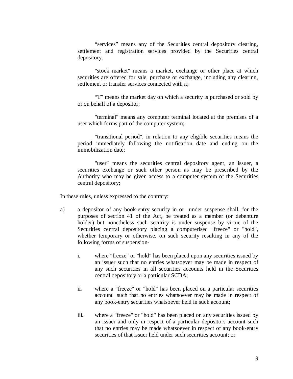"services" means any of the Securities central depository clearing, settlement and registration services provided by the Securities central depository.

"stock market" means a market, exchange or other place at which securities are offered for sale, purchase or exchange, including any clearing, settlement or transfer services connected with it;

"T" means the market day on which a security is purchased or sold by or on behalf of a depositor;

"terminal" means any computer terminal located at the premises of a user which forms part of the computer system;

"transitional period", in relation to any eligible securities means the period immediately following the notification date and ending on the immobilization date;

"user" means the securities central depository agent, an issuer, a securities exchange or such other person as may be prescribed by the Authority who may be given access to a computer system of the Securities central depository;

In these rules, unless expressed to the contrary:

- a) a depositor of any book-entry security in or under suspense shall, for the purposes of section 41 of the Act, be treated as a member (or debenture holder) but nonetheless such security is under suspense by virtue of the Securities central depository placing a computerised "freeze" or "hold", whether temporary or otherwise, on such security resulting in any of the following forms of suspension
	- i. where "freeze" or "hold" has been placed upon any securities issued by an issuer such that no entries whatsoever may be made in respect of any such securities in all securities accounts held in the Securities central depository or a particular SCDA;
	- ii. where a "freeze" or "hold" has been placed on a particular securities account such that no entries whatsoever may be made in respect of any book-entry securities whatsoever held in such account;
	- iii. where a "freeze" or "hold" has been placed on any securities issued by an issuer and only in respect of a particular depositors account such that no entries may be made whatsoever in respect of any book-entry securities of that issuer held under such securities account; or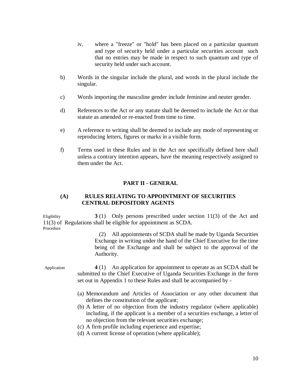- iv. where a "freeze" or "hold" has been placed on a particular quantum and type of security held under a particular securities account such that no entries may be made in respect to such quantum and type of security held under such account.
- b) Words in the singular include the plural, and words in the plural include the singular.
- c) Words importing the masculine gender include feminine and neuter gender.
- d) References to the Act or any statute shall be deemed to include the Act or that statute as amended or re-enacted from time to time.
- e) A reference to writing shall be deemed to include any mode of representing or reproducing letters, figures or marks in a visible form.
- f) Terms used in these Rules and in the Act not specifically defined here shall unless a contrary intention appears, have the meaning respectively assigned to them under the Act.

# **PART II - GENERAL**

## **(A) RULES RELATING TO APPOINTMENT OF SECURITIES CENTRAL DEPOSITORY AGENTS**

Eligibility **3**(1) Only persons prescribed under section 11(3) of the Act and 11(3) of Regulations shall be eligible for appointment as SCDA. Procedure

> (2) All appointments of SCDA shall be made by Uganda Securities Exchange in writing under the hand of the Chief Executive for the time being of the Exchange and shall be subject to the approval of the Authority.

Application **4** (1) An application for appointment to operate as an SCDA shall be submitted to the Chief Executive of Uganda Securities Exchange in the form set out in Appendix 1 to these Rules and shall be accompanied by -

- (a) Memorandum and Articles of Association or any other document that defines the constitution of the applicant;
- (b) A letter of no objection from the industry regulator (where applicable) including, if the applicant is a member of a securities exchange, a letter of no objection from the relevant securities exchange;
- (c) A firm profile including experience and expertise;
- (d) A current license of operation (where applicable);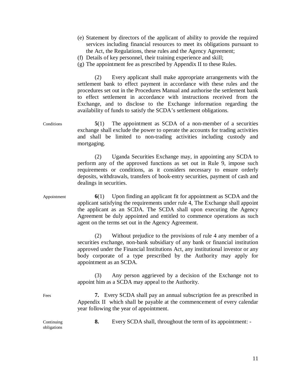- (e) Statement by directors of the applicant of ability to provide the required services including financial resources to meet its obligations pursuant to the Act, the Regulations, these rules and the Agency Agreement;
- (f) Details of key personnel, their training experience and skill;
- (g) The appointment fee as prescribed by Appendix II to these Rules.

(2) Every applicant shall make appropriate arrangements with the settlement bank to effect payment in accordance with these rules and the procedures set out in the Procedures Manual and authorise the settlement bank to effect settlement in accordance with instructions received from the Exchange, and to disclose to the Exchange information regarding the availability of funds to satisfy the SCDA's settlement obligations.

Conditions **5**(1) The appointment as SCDA of a non-member of a securities exchange shall exclude the power to operate the accounts for trading activities and shall be limited to non-trading activities including custody and mortgaging.

> (2) Uganda Securities Exchange may, in appointing any SCDA to perform any of the approved functions as set out in Rule 9, impose such requirements or conditions, as it considers necessary to ensure orderly deposits, withdrawals, transfers of book-entry securities, payment of cash and dealings in securities.

Appointment **6**(1) Upon finding an applicant fit for appointment as SCDA and the applicant satisfying the requirements under rule 4, The Exchange shall appoint the applicant as an SCDA. The SCDA shall upon executing the Agency Agreement be duly appointed and entitled to commence operations as such agent on the terms set out in the Agency Agreement.

> (2) Without prejudice to the provisions of rule 4 any member of a securities exchange, non-bank subsidiary of any bank or financial institution approved under the Financial Institutions Act, any institutional investor or any body corporate of a type prescribed by the Authority may apply for appointment as an SCDA.

> (3) Any person aggrieved by a decision of the Exchange not to appoint him as a SCDA may appeal to the Authority.

Fees **7.** Every SCDA shall pay an annual subscription fee as prescribed in Appendix II which shall be payable at the commencement of every calendar year following the year of appointment.

obligations

Continuing **8.** Every SCDA shall, throughout the term of its appointment: -

11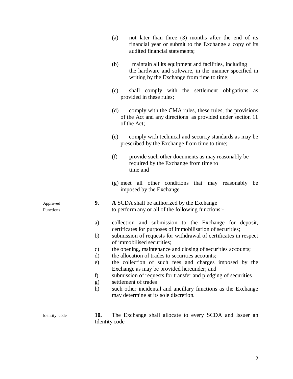|                       |           | not later than three (3) months after the end of its<br>(a)<br>financial year or submit to the Exchange a copy of its<br>audited financial statements;             |  |
|-----------------------|-----------|--------------------------------------------------------------------------------------------------------------------------------------------------------------------|--|
|                       |           | maintain all its equipment and facilities, including<br>(b)<br>the hardware and software, in the manner specified in<br>writing by the Exchange from time to time; |  |
|                       |           | shall comply with the settlement obligations<br>(c)<br>as<br>provided in these rules;                                                                              |  |
|                       |           | (d)<br>comply with the CMA rules, these rules, the provisions<br>of the Act and any directions as provided under section 11<br>of the Act;                         |  |
|                       |           | (e)<br>comply with technical and security standards as may be<br>prescribed by the Exchange from time to time;                                                     |  |
|                       |           | (f)<br>provide such other documents as may reasonably be<br>required by the Exchange from time to<br>time and                                                      |  |
|                       |           | (g) meet all other conditions that may reasonably<br>be<br>imposed by the Exchange                                                                                 |  |
| Approved<br>Functions | 9.        | A SCDA shall be authorized by the Exchange<br>to perform any or all of the following functions:-                                                                   |  |
|                       | a)        | collection and submission to the Exchange for deposit,<br>certificates for purposes of immobilisation of securities;                                               |  |
|                       | b)        | submission of requests for withdrawal of certificates in respect<br>of immobilised securities;                                                                     |  |
|                       | $\circ$ ) | the opening, maintenance and closing of securities accounts;                                                                                                       |  |
|                       | d)        | the allocation of trades to securities accounts;                                                                                                                   |  |
|                       | e)        | the collection of such fees and charges imposed by the                                                                                                             |  |
|                       |           | Exchange as may be provided hereunder; and                                                                                                                         |  |
|                       | f)        | submission of requests for transfer and pledging of securities                                                                                                     |  |
|                       | g)        | settlement of trades                                                                                                                                               |  |
|                       | h)        | such other incidental and ancillary functions as the Exchange<br>may determine at its sole discretion.                                                             |  |
| Identity code         | 10.       | The Exchange shall allocate to every SCDA and Issuer an<br>Identity code                                                                                           |  |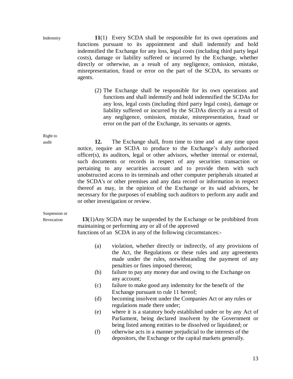Indemnity **11**(1) Every SCDA shall be responsible for its own operations and functions pursuant to its appointment and shall indemnify and hold indemnified the Exchange for any loss, legal costs (including third party legal costs), damage or liability suffered or incurred by the Exchange, whether directly or otherwise, as a result of any negligence, omission, mistake, misrepresentation, fraud or error on the part of the SCDA, its servants or agents.

> (2) The Exchange shall be responsible for its own operations and functions and shall indemnify and hold indemnified the SCDAs for any loss, legal costs (including third party legal costs), damage or liability suffered or incurred by the SCDAs directly as a result of any negligence, omission, mistake, misrepresentation, fraud or error on the part of the Exchange, its servants or agents.

audit **12.** The Exchange shall, from time to time and at any time upon notice, require an SCDA to produce to the Exchange's duly authorised officer(s), its auditors, legal or other advisors, whether internal or external, such documents or records in respect of any securities transaction or pertaining to any securities account and to provide them with such unobstructed access to its terminals and other computer peripherals situated at the SCDA's or other premises and any data record or information in respect thereof as may, in the opinion of the Exchange or its said advisors, be necessary for the purposes of enabling such auditors to perform any audit and or other investigation or review.

## Suspension or

Revocation **13**(1)Any SCDA may be suspended by the Exchange or be prohibited from maintaining or performing any or all of the approved

functions of an SCDA in any of the following circumstances:-

- (a) violation, whether directly or indirectly, of any provisions of the Act, the Regulations or these rules and any agreements made under the rules, notwithstanding the payment of any penalties or fines imposed thereon;
- (b) failure to pay any money due and owing to the Exchange on any account;
- (c) failure to make good any indemnity for the benefit of the Exchange pursuant to rule 11 hereof;
- (d) becoming insolvent under the Companies Act or any rules or regulations made there under;
- (e) where it is a statutory body established under or by any Act of Parliament, being declared insolvent by the Government or being listed among entities to be dissolved or liquidated; or
- (f) otherwise acts in a manner prejudicial to the interests of the depositors, the Exchange or the capital markets generally.

Right to

13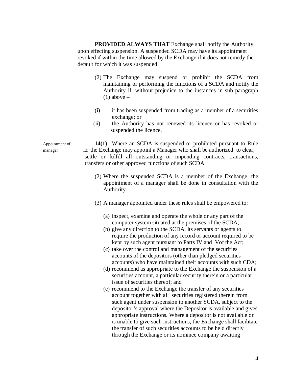**PROVIDED ALWAYS THAT** Exchange shall notify the Authority upon effecting suspension. A suspended SCDA may have its appointment revoked if within the time allowed by the Exchange if it does not remedy the default for which it was suspended.

- (2) The Exchange may suspend or prohibit the SCDA from maintaining or performing the functions of a SCDA and notify the Authority if, without prejudice to the instances in sub paragraph  $(1)$  above –
- (i) it has been suspended from trading as a member of a securities exchange; or
- (ii) the Authority has not renewed its licence or has revoked or suspended the licence,

Appointment of **14(1)** Where an SCDA is suspended or prohibited pursuant to Rule manager 13, the Exchange may appoint a Manager who shall be authorized to clear, settle or fulfill all outstanding or impending contracts, transactions, transfers or other approved functions of such SCDA

- (2) Where the suspended SCDA is a member of the Exchange, the appointment of a manager shall be done in consultation with the Authority.
- (3) A manager appointed under these rules shall be empowered to:
	- (a) inspect, examine and operate the whole or any part of the computer system situated at the premises of the SCDA;
	- (b) give any direction to the SCDA, its servants or agents to require the production of any record or account required to be kept by such agent pursuant to Parts IV and Vof the Act;
	- (c) take over the control and management of the securities accounts of the depositors (other than pledged securities accounts) who have maintained their accounts with such CDA;
	- (d) recommend as appropriate to the Exchange the suspension of a securities account, a particular security therein or a particular issue of securities thereof; and
	- (e) recommend to the Exchange the transfer of any securities account together with all securities registered therein from such agent under suspension to another SCDA, subject to the depositor's approval where the Depositor is available and gives appropriate instructions. Where a depositor is not available or is unable to give such instructions, the Exchange shall facilitate the transfer of such securities accounts to be held directly through the Exchange or its nominee company awaiting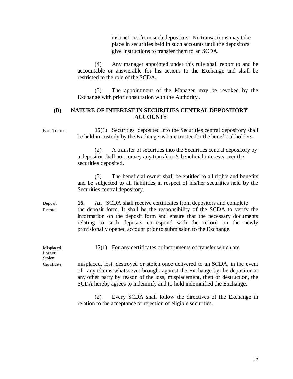instructions from such depositors. No transactions may take place in securities held in such accounts until the depositors give instructions to transfer them to an SCDA.

(4) Any manager appointed under this rule shall report to and be accountable or answerable for his actions to the Exchange and shall be restricted to the role of the SCDA.

(5) The appointment of the Manager may be revoked by the Exchange with prior consultation with the Authority .

## **(B) NATURE OF INTEREST IN SECURITIES CENTRAL DEPOSITORY ACCOUNTS**

| <b>Bare Trustee</b>   | 15(1) Securities deposited into the Securities central depository shall<br>be held in custody by the Exchange as bare trustee for the beneficial holders.                                                                                                                                                                                                                 |  |  |  |
|-----------------------|---------------------------------------------------------------------------------------------------------------------------------------------------------------------------------------------------------------------------------------------------------------------------------------------------------------------------------------------------------------------------|--|--|--|
|                       | A transfer of securities into the Securities central depository by<br>(2)<br>a depositor shall not convey any transferor's beneficial interests over the<br>securities deposited.                                                                                                                                                                                         |  |  |  |
|                       | The beneficial owner shall be entitled to all rights and benefits<br>(3)<br>and be subjected to all liabilities in respect of his/her securities held by the<br>Securities central depository.                                                                                                                                                                            |  |  |  |
| Deposit<br>Record     | An SCDA shall receive certificates from depositors and complete<br>16.<br>the deposit form. It shall be the responsibility of the SCDA to verify the<br>information on the deposit form and ensure that the necessary documents<br>relating to such deposits correspond with the record on the newly<br>provisionally opened account prior to submission to the Exchange. |  |  |  |
| Misplaced<br>Lost or  | 17(1) For any certificates or instruments of transfer which are                                                                                                                                                                                                                                                                                                           |  |  |  |
| Stolen<br>Certificate | misplaced, lost, destroyed or stolen once delivered to an SCDA, in the event<br>of any claims whatsoever brought against the Exchange by the depositor or<br>any other party by reason of the loss, misplacement, the ft or destruction, the<br>SCDA hereby agrees to indemnify and to hold indemnified the Exchange.                                                     |  |  |  |
|                       | $C \cap D \cup 1$ $11 C 11$ $11 T 1$<br>$(2)$ $\Box$                                                                                                                                                                                                                                                                                                                      |  |  |  |

(2) Every SCDA shall follow the directives of the Exchange in relation to the acceptance or rejection of eligible securities.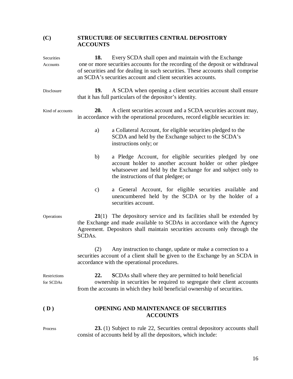# **(C) STRUCTURE OF SECURITIES CENTRAL DEPOSITORY ACCOUNTS**

| Securities<br>Accounts    | Every SCDA shall open and maintain with the Exchange<br>18.<br>one or more securities accounts for the recording of the deposit or withdrawal<br>of securities and for dealing in such securities. These accounts shall comprise<br>an SCDA's securities account and client securities accounts. |                                                                                                                                                                                                                              |  |
|---------------------------|--------------------------------------------------------------------------------------------------------------------------------------------------------------------------------------------------------------------------------------------------------------------------------------------------|------------------------------------------------------------------------------------------------------------------------------------------------------------------------------------------------------------------------------|--|
| Disclosure                | 19.                                                                                                                                                                                                                                                                                              | A SCDA when opening a client securities account shall ensure<br>that it has full particulars of the depositor's identity.                                                                                                    |  |
| Kind of accounts          | 20.                                                                                                                                                                                                                                                                                              | A client securities account and a SCDA securities account may,<br>in accordance with the operational procedures, record eligible securities in:                                                                              |  |
|                           | a)                                                                                                                                                                                                                                                                                               | a Collateral Account, for eligible securities pledged to the<br>SCDA and held by the Exchange subject to the SCDA's<br>instructions only; or                                                                                 |  |
|                           | b)                                                                                                                                                                                                                                                                                               | a Pledge Account, for eligible securities pledged by one<br>account holder to another account holder or other pledgee<br>whatsoever and held by the Exchange for and subject only to<br>the instructions of that pledgee; or |  |
|                           | $\mathbf{c})$                                                                                                                                                                                                                                                                                    | a General Account, for eligible securities available and<br>unencumbered held by the SCDA or by the holder of a<br>securities account.                                                                                       |  |
| Operations                | $21(1)$ The depository service and its facilities shall be extended by<br>the Exchange and made available to SCDAs in accordance with the Agency<br>Agreement. Depositors shall maintain securities accounts only through the<br>SCDAs.                                                          |                                                                                                                                                                                                                              |  |
|                           | (2)                                                                                                                                                                                                                                                                                              | Any instruction to change, update or make a correction to a<br>securities account of a client shall be given to the Exchange by an SCDA in<br>accordance with the operational procedures.                                    |  |
| Restrictions<br>for SCDAs | <b>SCDAs</b> shall where they are permitted to hold beneficial<br>22.<br>ownership in securities be required to segregate their client accounts<br>from the accounts in which they hold beneficial ownership of securities.                                                                      |                                                                                                                                                                                                                              |  |
| (D)                       | OPENING AND MAINTENANCE OF SECURITIES<br><b>ACCOUNTS</b>                                                                                                                                                                                                                                         |                                                                                                                                                                                                                              |  |
| Process                   |                                                                                                                                                                                                                                                                                                  | 23. (1) Subject to rule 22, Securities central depository accounts shall<br>consist of accounts held by all the depositors, which include:                                                                                   |  |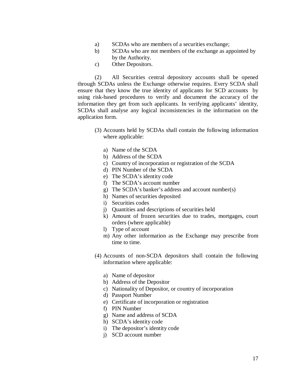- a) SCDAs who are members of a securities exchange;
- b) SCDAs who are not members of the exchange as appointed by by the Authority.
- c) Other Depositors.

(2) All Securities central depository accounts shall be opened through SCDAs unless the Exchange otherwise requires. Every SCDA shall ensure that they know the true identity of applicants for SCD accounts by using risk-based procedures to verify and document the accuracy of the information they get from such applicants. In verifying applicants' identity, SCDAs shall analyse any logical inconsistencies in the information on the application form.

- (3) Accounts held by SCDAs shall contain the following information where applicable:
	- a) Name of the SCDA
	- b) Address of the SCDA
	- c) Country of incorporation or registration of the SCDA
	- d) PIN Number of the SCDA
	- e) The SCDA's identity code
	- f) The SCDA's account number
	- g) The SCDA's banker's address and account number(s)
	- h) Names of securities deposited
	- i) Securities codes
	- j) Quantities and descriptions of securities held
	- k) Amount of frozen securities due to trades, mortgages, court orders (where applicable)
	- l) Type of account
	- m) Any other information as the Exchange may prescribe from time to time.
- (4) Accounts of non-SCDA depositors shall contain the following information where applicable:
	- a) Name of depositor
	- b) Address of the Depositor
	- c) Nationality of Depositor, or country of incorporation
	- d) Passport Number
	- e) Certificate of incorporation or registration
	- f) PIN Number
	- g) Name and address of SCDA
	- h) SCDA's identity code
	- i) The depositor's identity code
	- j) SCD account number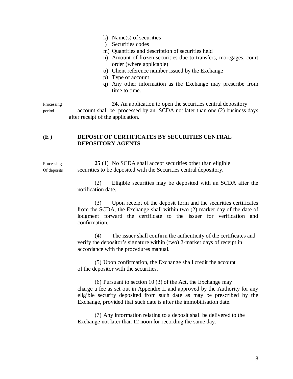- k) Name(s) of securities
- l) Securities codes
- m) Quantities and description of securities held
- n) Amount of frozen securities due to transfers, mortgages, court order (where applicable)
- o) Client reference number issued by the Exchange
- p) Type of account
- q) Any other information as the Exchange may prescribe from time to time.

Processing 24. An application to open the securities central depository period account shall be processed by an SCDA not later than one (2) business days after receipt of the application.

## **(E ) DEPOSIT OF CERTIFICATES BY SECURITIES CENTRAL DEPOSITORY AGENTS**

Processing 25 (1) No SCDA shall accept securities other than eligible Of deposits securities to be deposited with the Securities central depository.

> (2) Eligible securities may be deposited with an SCDA after the notification date.

> (3) Upon receipt of the deposit form and the securities certificates from the SCDA, the Exchange shall within two (2) market day of the date of lodgment forward the certificate to the issuer for verification and confirmation.

(4) The issuer shall confirm the authenticity of the certificates and verify the depositor's signature within (two) 2-market days of receipt in accordance with the procedures manual.

(5) Upon confirmation, the Exchange shall credit the account of the depositor with the securities.

(6) Pursuant to section 10 (3) of the Act, the Exchange may charge a fee as set out in Appendix II and approved by the Authority for any eligible security deposited from such date as may be prescribed by the Exchange, provided that such date is after the immobilisation date.

(7) Any information relating to a deposit shall be delivered to the Exchange not later than 12 noon for recording the same day.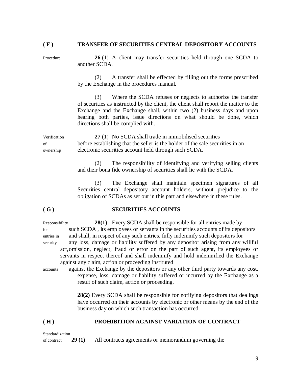#### **( F ) TRANSFER OF SECURITIES CENTRAL DEPOSITORY ACCOUNTS**

Procedure **26** (1) A client may transfer securities held through one SCDA to another SCDA.

> (2) A transfer shall be effected by filling out the forms prescribed by the Exchange in the procedures manual.

> (3) Where the SCDA refuses or neglects to authorize the transfer of securities as instructed by the client, the client shall report the matter to the Exchange and the Exchange shall, within two (2) business days and upon hearing both parties, issue directions on what should be done, which directions shall be complied with.

Verification **27** (1) No SCDA shall trade in immobilised securities of before establishing that the seller is the holder of the sale securities in an ownership electronic securities account held through such SCDA.

> (2) The responsibility of identifying and verifying selling clients and their bona fide ownership of securities shall lie with the SCDA.

> (3) The Exchange shall maintain specimen signatures of all Securities central depository account holders, without prejudice to the obligation of SCDAs as set out in this part and elsewhere in these rules.

#### **( G ) SECURITIES ACCOUNTS**

Responsibility **28(1)** Every SCDA shall be responsible for all entries made by for such SCDA , its employees or servants in the securities accounts of its depositors entries in and shall, in respect of any such entries, fully indemnify such depositors for security any loss, damage or liability suffered by any depositor arising from any willful act,omission, neglect, fraud or error on the part of such agent, its employees or servants in respect thereof and shall indemnify and hold indemnified the Exchange against any claim, action or proceeding instituted

accounts against the Exchange by the depositors or any other third party towards any cost, expense, loss, damage or liability suffered or incurred by the Exchange as a result of such claim, action or proceeding.

> **28(2)** Every SCDA shall be responsible for notifying depositors that dealings have occurred on their accounts by electronic or other means by the end of the business day on which such transaction has occurred.

#### **( H ) PROHIBITION AGAINST VARIATION OF CONTRACT**

of contract **29 (1)** All contracts agreements or memorandum governing the

19

Standardization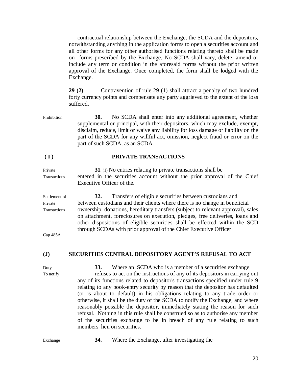contractual relationship between the Exchange, the SCDA and the depositors, notwithstanding anything in the application forms to open a securities account and all other forms for any other authorised functions relating thereto shall be made on forms prescribed by the Exchange. No SCDA shall vary, delete, amend or include any term or condition in the aforesaid forms without the prior written approval of the Exchange. Once completed, the form shall be lodged with the Exchange.

**29 (2)** Contravention of rule 29 (1) shall attract a penalty of two hundred forty currency points and compensate any party aggrieved to the extent of the loss suffered.

Prohibition **30.** No SCDA shall enter into any additional agreement, whether supplemental or principal, with their depositors, which may exclude, exempt, disclaim, reduce, limit or waive any liability for loss damage or liability on the part of the SCDA for any willful act, omission, neglect fraud or error on the part of such SCDA, as an SCDA.

#### **( I ) PRIVATE TRANSACTIONS**

Private **31**. (1) No entries relating to private transactions shall be Transactions entered in the securities account without the prior approval of the Chief Executive Officer of the.

Settlement of **32.** Transfers of eligible securities between custodians and Private between custodians and their clients where there is no change in beneficial Transactions ownership, donations, hereditary transfers (subject to relevant approval), sales on attachment, foreclosures on execution, pledges, free deliveries, loans and other dispositions of eligible securities shall be effected within the SCD through SCDAs with prior approval of the Chief Executive Officer

Cap 485A

#### **(J) SECURITIES CENTRAL DEPOSITORY AGENT'S REFUSAL TO ACT**

Duty **33.** Where an SCDA who is a member of a securities exchange To notify refuses to act on the instructions of any of its depositors in carrying out any of its functions related to depositor's transactions specified under rule 9 relating to any book-entry security by reason that the depositor has defaulted (or is about to default) in his obligations relating to any trade order or otherwise, it shall be the duty of the SCDA to notify the Exchange, and where reasonably possible the depositor, immediately stating the reason for such refusal. Nothing in this rule shall be construed so as to authorise any member of the securities exchange to be in breach of any rule relating to such members' lien on securities.

Exchange **34.** Where the Exchange, after investigating the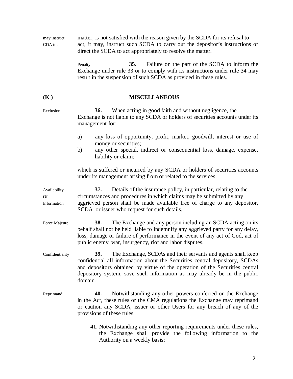may instruct matter, is not satisfied with the reason given by the SCDA for its refusal to CDA to act act, it may, instruct such SCDA to carry out the depositor's instructions or direct the SCDA to act appropriately to resolve the matter.

> Penalty **35.** Failure on the part of the SCDA to inform the Exchange under rule 33 or to comply with its instructions under rule 34 may result in the suspension of such SCDA as provided in these rules.

# **(K ) MISCELLANEOUS**

Exclusion **36.** When acting in good faith and without negligence, the Exchange is not liable to any SCDA or holders of securities accounts under its management for:

- a) any loss of opportunity, profit, market, goodwill, interest or use of money or securities;
- b) any other special, indirect or consequential loss, damage, expense, liability or claim;

which is suffered or incurred by any SCDA or holders of securities accounts under its management arising from or related to the services.

Availability **37.** Details of the insurance policy, in particular, relating to the Of circumstances and procedures in which claims may be submitted by any Information aggrieved person shall be made available free of charge to any depositor, SCDA or issuer who request for such details.

Force Majeure **38.** The Exchange and any person including an SCDA acting on its behalf shall not be held liable to indemnify any aggrieved party for any delay, loss, damage or failure of performance in the event of any act of God, act of public enemy, war, insurgency, riot and labor disputes.

Confidentiality **39.** The Exchange, SCDAs and their servants and agents shall keep confidential all information about the Securities central depository, SCDAs and depositors obtained by virtue of the operation of the Securities central depository system, save such information as may already be in the public domain.

- Reprimand **40.** Notwithstanding any other powers conferred on the Exchange in the Act, these rules or the CMA regulations the Exchange may reprimand or caution any SCDA, issuer or other Users for any breach of any of the provisions of these rules.
	- **41.** Notwithstanding any other reporting requirements under these rules, the Exchange shall provide the following information to the Authority on a weekly basis;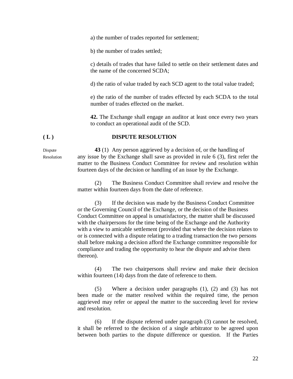a) the number of trades reported for settlement;

b) the number of trades settled;

c) details of trades that have failed to settle on their settlement dates and the name of the concerned SCDA;

d) the ratio of value traded by each SCD agent to the total value traded;

e) the ratio of the number of trades effected by each SCDA to the total number of trades effected on the market.

**42.** The Exchange shall engage an auditor at least once every two years to conduct an operational audit of the SCD.

#### **( L ) DISPUTE RESOLUTION**

Dispute **43** (1) Any person aggrieved by a decision of, or the handling of Resolution any issue by the Exchange shall save as provided in rule 6 (3), first refer the matter to the Business Conduct Committee for review and resolution within fourteen days of the decision or handling of an issue by the Exchange.

> (2) The Business Conduct Committee shall review and resolve the matter within fourteen days from the date of reference.

> (3) If the decision was made by the Business Conduct Committee or the Governing Council of the Exchange, or the decision of the Business Conduct Committee on appeal is unsatisfactory, the matter shall be discussed with the chairpersons for the time being of the Exchange and the Authority with a view to amicable settlement (provided that where the decision relates to or is connected with a dispute relating to a trading transaction the two persons shall before making a decision afford the Exchange committee responsible for compliance and trading the opportunity to hear the dispute and advise them thereon).

> (4) The two chairpersons shall review and make their decision within fourteen (14) days from the date of reference to them.

> (5) Where a decision under paragraphs (1), (2) and (3) has not been made or the matter resolved within the required time, the person aggrieved may refer or appeal the matter to the succeeding level for review and resolution.

> (6) If the dispute referred under paragraph (3) cannot be resolved, it shall be referred to the decision of a single arbitrator to be agreed upon between both parties to the dispute difference or question. If the Parties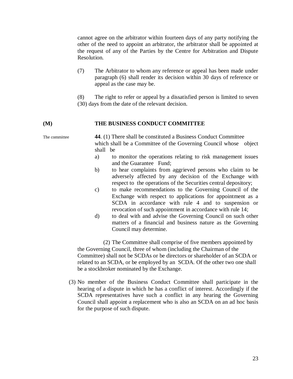cannot agree on the arbitrator within fourteen days of any party notifying the other of the need to appoint an arbitrator, the arbitrator shall be appointed at the request of any of the Parties by the Centre for Arbitration and Dispute Resolution.

- (7) The Arbitrator to whom any reference or appeal has been made under paragraph (6) shall render its decision within 30 days of reference or appeal as the case may be.
- (8) The right to refer or appeal by a dissatisfied person is limited to seven (30) days from the date of the relevant decision.

#### **(M) THE BUSINESS CONDUCT COMMITTEE**

The committee **44**. (1) There shall be constituted a Business Conduct Committee which shall be a Committee of the Governing Council whose object shall be

- a) to monitor the operations relating to risk management issues and the Guarantee Fund;
- b) to hear complaints from aggrieved persons who claim to be adversely affected by any decision of the Exchange with respect to the operations of the Securities central depository;
- c) to make recommendations to the Governing Council of the Exchange with respect to applications for appointment as a SCDA in accordance with rule 4 and to suspension or revocation of such appointment in accordance with rule 14;
- d) to deal with and advise the Governing Council on such other matters of a financial and business nature as the Governing Council may determine.

(2) The Committee shall comprise of five members appointed by the Governing Council, three of whom (including the Chairman of the Committee) shall not be SCDAs or be directors or shareholder of an SCDA or related to an SCDA, or be employed by an SCDA. Of the other two one shall be a stockbroker nominated by the Exchange.

(3) No member of the Business Conduct Committee shall participate in the hearing of a dispute in which he has a conflict of interest. Accordingly if the SCDA representatives have such a conflict in any hearing the Governing Council shall appoint a replacement who is also an SCDA on an ad hoc basis for the purpose of such dispute.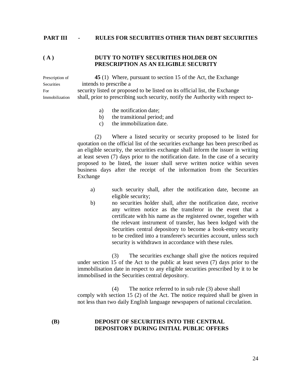#### **PART III - RULES FOR SECURITIES OTHER THAN DEBT SECURITIES**

#### **( A ) DUTY TO NOTIFY SECURITIES HOLDER ON PRESCRIPTION AS AN ELIGIBLE SECURITY**

Prescription of **45** (1) Where, pursuant to section 15 of the Act, the Exchange Securities intends to prescribe a For security listed or proposed to be listed on its official list, the Exchange Immobilization shall, prior to prescribing such security, notify the Authority with respect to-

- a) the notification date;
- b) the transitional period; and
- c) the immobilization date.

(2) Where a listed security or security proposed to be listed for quotation on the official list of the securities exchange has been prescribed as an eligible security, the securities exchange shall inform the issuer in writing at least seven (7) days prior to the notification date. In the case of a security proposed to be listed, the issuer shall serve written notice within seven business days after the receipt of the information from the Securities Exchange

- a) such security shall, after the notification date, become an eligible security;
- b) no securities holder shall, after the notification date, receive any written notice as the transferor in the event that a certificate with his name as the registered owner, together with the relevant instrument of transfer, has been lodged with the Securities central depository to become a book-entry security to be credited into a transferee's securities account, unless such security is withdrawn in accordance with these rules.

(3) The securities exchange shall give the notices required under section 15 of the Act to the public at least seven (7) days prior to the immobilisation date in respect to any eligible securities prescribed by it to be immobilised in the Securities central depository.

(4) The notice referred to in sub rule (3) above shall comply with section 15 (2) of the Act. The notice required shall be given in not less than two daily English language newspapers of national circulation.

## **(B) DEPOSIT OF SECURITIES INTO THE CENTRAL DEPOSITORY DURING INITIAL PUBLIC OFFERS**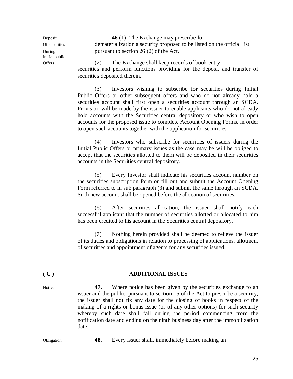Initial public

Deposit **46** (1) The Exchange may prescribe for Of securities dematerialization a security proposed to be listed on the official list During pursuant to section 26 (2) of the Act.

Offers (2) The Exchange shall keep records of book entry securities and perform functions providing for the deposit and transfer of securities deposited therein.

> (3) Investors wishing to subscribe for securities during Initial Public Offers or other subsequent offers and who do not already hold a securities account shall first open a securities account through an SCDA. Provision will be made by the issuer to enable applicants who do not already hold accounts with the Securities central depository or who wish to open accounts for the proposed issue to complete Account Opening Forms, in order to open such accounts together with the application for securities.

> (4) Investors who subscribe for securities of issuers during the Initial Public Offers or primary issues as the case may be will be obliged to accept that the securities allotted to them will be deposited in their securities accounts in the Securities central depository.

> (5) Every Investor shall indicate his securities account number on the securities subscription form or fill out and submit the Account Opening Form referred to in sub paragraph (3) and submit the same through an SCDA. Such new account shall be opened before the allocation of securities.

> (6) After securities allocation, the issuer shall notify each successful applicant that the number of securities allotted or allocated to him has been credited to his account in the Securities central depository.

> (7) Nothing herein provided shall be deemed to relieve the issuer of its duties and obligations in relation to processing of applications, allotment of securities and appointment of agents for any securities issued.

#### **( C ) ADDITIONAL ISSUES**

Notice **47.** Where notice has been given by the securities exchange to an issuer and the public, pursuant to section 15 of the Act to prescribe a security, the issuer shall not fix any date for the closing of books in respect of the making of a rights or bonus issue (or of any other options) for such security whereby such date shall fall during the period commencing from the notification date and ending on the ninth business day after the immobilization date.

Obligation **48.** Every issuer shall, immediately before making an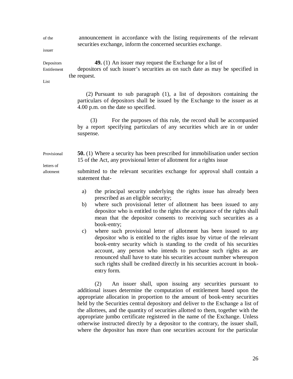of the announcement in accordance with the listing requirements of the relevant securities exchange, inform the concerned securities exchange.

issuer

Depositors **49.** (1) An issuer may request the Exchange for a list of Entitlement depositors of such issuer's securities as on such date as may be specified in the request.

List

(2) Pursuant to sub paragraph (1), a list of depositors containing the particulars of depositors shall be issued by the Exchange to the issuer as at 4.00 p.m. on the date so specified.

(3) For the purposes of this rule, the record shall be accompanied by a report specifying particulars of any securities which are in or under suspense.

Provisional **50.** (1) Where a security has been prescribed for immobilisation under section 15 of the Act, any provisional letter of allotment for a rights issue letters of

allotment submitted to the relevant securities exchange for approval shall contain a statement that-

- a) the principal security underlying the rights issue has already been prescribed as an eligible security;
- b) where such provisional letter of allotment has been issued to any depositor who is entitled to the rights the acceptance of the rights shall mean that the depositor consents to receiving such securities as a book-entry;
- c) where such provisional letter of allotment has been issued to any depositor who is entitled to the rights issue by virtue of the relevant book-entry security which is standing to the credit of his securities account, any person who intends to purchase such rights as are renounced shall have to state his securities account number whereupon such rights shall be credited directly in his securities account in bookentry form.

(2) An issuer shall, upon issuing any securities pursuant to additional issues determine the computation of entitlement based upon the appropriate allocation in proportion to the amount of book-entry securities held by the Securities central depository and deliver to the Exchange a list of the allottees, and the quantity of securities allotted to them, together with the appropriate jumbo certificate registered in the name of the Exchange. Unless otherwise instructed directly by a depositor to the contrary, the issuer shall, where the depositor has more than one securities account for the particular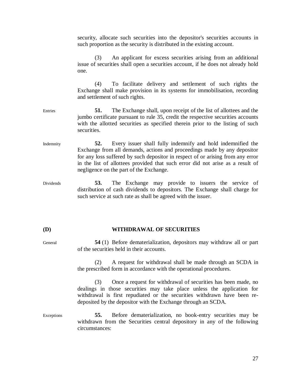security, allocate such securities into the depositor's securities accounts in such proportion as the security is distributed in the existing account.

(3) An applicant for excess securities arising from an additional issue of securities shall open a securities account, if he does not already hold one.

(4) To facilitate delivery and settlement of such rights the Exchange shall make provision in its systems for immobilisation, recording and settlement of such rights.

- Entries **51.** The Exchange shall, upon receipt of the list of allottees and the jumbo certificate pursuant to rule 35, credit the respective securities accounts with the allotted securities as specified therein prior to the listing of such securities.
- Indemnity **52.** Every issuer shall fully indemnify and hold indemnified the Exchange from all demands, actions and proceedings made by any depositor for any loss suffered by such depositor in respect of or arising from any error in the list of allottees provided that such error did not arise as a result of negligence on the part of the Exchange.
- Dividends **53.** The Exchange may provide to issuers the service of distribution of cash dividends to depositors. The Exchange shall charge for such service at such rate as shall be agreed with the issuer.

#### **(D) WITHDRAWAL OF SECURITIES**

General **54** (1) Before dematerialization, depositors may withdraw all or part of the securities held in their accounts.

> (2) A request for withdrawal shall be made through an SCDA in the prescribed form in accordance with the operational procedures.

> (3) Once a request for withdrawal of securities has been made, no dealings in those securities may take place unless the application for withdrawal is first repudiated or the securities withdrawn have been redeposited by the depositor with the Exchange through an SCDA.

Exceptions **55.** Before dematerialization, no book-entry securities may be withdrawn from the Securities central depository in any of the following circumstances: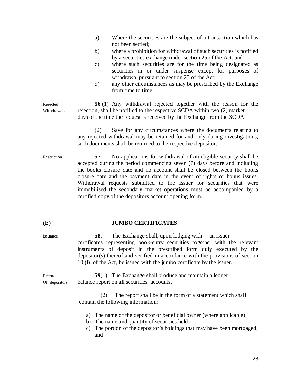- a) Where the securities are the subject of a transaction which has not been settled;
- b) where a prohibition for withdrawal of such securities is notified by a securities exchange under section 25 of the Act: and
- c) where such securities are for the time being designated as securities in or under suspense except for purposes of withdrawal pursuant to section 25 of the Act;
- d) any other circumstances as may be prescribed by the Exchange from time to time.

Rejected **56** (1) Any withdrawal rejected together with the reason for the Withdrawals rejection, shall be notified to the respective SCDA within two (2) market days of the time the request is received by the Exchange from the SCDA.

> (2) Save for any circumstances where the documents relating to any rejected withdrawal may be retained for and only during investigations, such documents shall be returned to the respective depositor.

Restriction **57.** No applications for withdrawal of an eligible security shall be accepted during the period commencing seven (7) days before and including the books closure date and no account shall be closed between the books closure date and the payment date in the event of rights or bonus issues. Withdrawal requests submitted to the Issuer for securities that were immobilised the secondary market operations must be accompanied by a certified copy of the depositors account opening form.

#### **(E) JUMBO CERTIFICATES**

Issuance **58.** The Exchange shall, upon lodging with an issuer certificates representing book-entry securities together with the relevant instruments of deposit in the prescribed form duly executed by the depositor(s) thereof and verified in accordance with the provisions of section 10 (l) of the Act, be issued with the jumbo certificate by the issuer.

Record **59**(1) The Exchange shall produce and maintain a ledger Of depositors balance report on all securities accounts.

> (2) The report shall be in the form of a statement which shall contain the following information:

- a) The name of the depositor or beneficial owner (where applicable);
- b) The name and quantity of securities held;
- c) The portion of the depositor's holdings that may have been mortgaged; and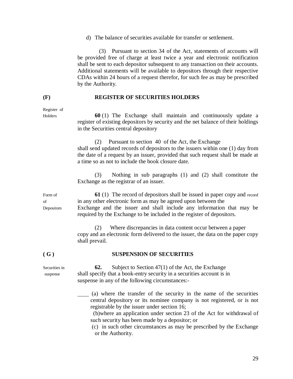d) The balance of securities available for transfer or settlement.

 (3) Pursuant to section 34 of the Act, statements of accounts will be provided free of charge at least twice a year and electronic notification shall be sent to each depositor subsequent to any transaction on their accounts. Additional statements will be available to depositors through their respective CDAs within 24 hours of a request therefor, for such fee as may be prescribed by the Authority.

#### **(F) REGISTER OF SECURITIES HOLDERS**

Holders **60** (1) The Exchange shall maintain and continuously update a register of existing depositors by security and the net balance of their holdings in the Securities central depository

> (2) Pursuant to section 40 of the Act, the Exchange shall send updated records of depositors to the issuers within one (1) day from the date of a request by an issuer, provided that such request shall be made at a time so as not to include the book closure date.

> (3) Nothing in sub paragraphs (1) and (2) shall constitute the Exchange as the registrar of an issuer.

Form of **61** (1) The record of depositors shall be issued in paper copy and record of in any other electronic form as may be agreed upon between the Depositors Exchange and the issuer and shall include any information that may be required by the Exchange to be included in the register of depositors.

> (2) Where discrepancies in data content occur between a paper copy and an electronic form delivered to the issuer, the data on the paper copy shall prevail.

#### **( G ) SUSPENSION OF SECURITIES**

Securities in **62.** Subject to Section 47(1) of the Act, the Exchange suspense shall specify that a book-entry security in a securities account is in suspense in any of the following circumstances:-

> (a) where the transfer of the security in the name of the securities central depository or its nominee company is not registered, or is not registrable by the issuer under section 16;

 (b)where an application under section 23 of the Act for withdrawal of such security has been made by a depositor; or

(c) in such other circumstances as may be prescribed by the Exchange or the Authority.

Register of

29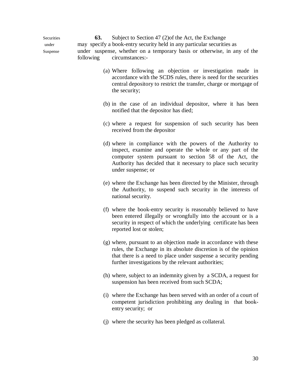Securities **63.** Subject to Section 47 (2)of the Act, the Exchange under may specify a book-entry security held in any particular securities as Suspense under suspense, whether on a temporary basis or otherwise, in any of the following circumstances:-

- (a) Where following an objection or investigation made in accordance with the SCDS rules, there is need for the securities central depository to restrict the transfer, charge or mortgage of the security;
- (b) in the case of an individual depositor, where it has been notified that the depositor has died;
- (c) where a request for suspension of such security has been received from the depositor
- (d) where in compliance with the powers of the Authority to inspect, examine and operate the whole or any part of the computer system pursuant to section 58 of the Act, the Authority has decided that it necessary to place such security under suspense; or
- (e) where the Exchange has been directed by the Minister, through the Authority, to suspend such security in the interests of national security.
- (f) where the book-entry security is reasonably believed to have been entered illegally or wrongfully into the account or is a security in respect of which the underlying certificate has been reported lost or stolen;
- (g) where, pursuant to an objection made in accordance with these rules, the Exchange in its absolute discretion is of the opinion that there is a need to place under suspense a security pending further investigations by the relevant authorities;
- (h) where, subject to an indemnity given by a SCDA, a request for suspension has been received from such SCDA;
- (i) where the Exchange has been served with an order of a court of competent jurisdiction prohibiting any dealing in that bookentry security; or
- (j) where the security has been pledged as collateral.

30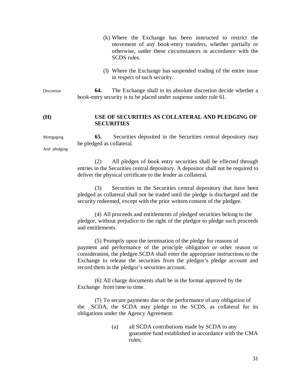- (k) Where the Exchange has been instructed to restrict the movement of any book-entry transfers, whether partially or otherwise, under these circumstances in accordance with the SCDS rules.
- (l) Where the Exchange has suspended trading of the entire issue in respect of such security.

Discretion **64.** The Exchange shall in its absolute discretion decide whether a book-entry security is to be placed under suspense under rule 61.

#### **(H) USE OF SECURITIES AS COLLATERAL AND PLEDGING OF SECURITIES**

Mortgaging **65.** Securities deposited in the Securities central depository may be pledged as collateral.

And pledging

(2) All pledges of book entry securities shall be effected through entries in the Securities central depository. A depositor shall not be required to deliver the physical certificate to the lender as collateral.

(3) Securities in the Securities central depository that have been pledged as collateral shall not be traded until the pledge is discharged and the security redeemed, except with the prior written consent of the pledgee.

(4) All proceeds and entitlements of pledged securities belong to the pledgor, without prejudice to the right of the pledgor to pledge such proceeds and entitlements.

(5) Promptly upon the termination of the pledge for reasons of payment and performance of the principle obligation or other reason or consideration, the pledgee SCDA shall enter the appropriate instructions to the Exchange to release the securities from the pledgor's pledge account and record them in the pledgor's securities account.

(6) All charge documents shall be in the format approved by the Exchange from time to time.

(7) To secure payments due or the performance of any obligation of the SCDA, the SCDA may pledge to the SCDS, as collateral for its obligations under the Agency Agreement:

> (a) all SCDA contributions made by SCDA to any guarantee fund established in accordance with the CMA rules;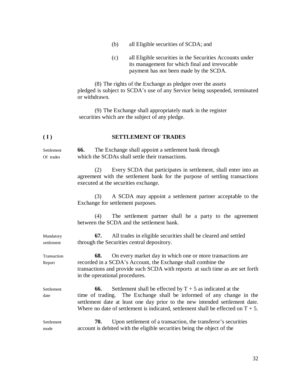- (b) all Eligible securities of SCDA; and
- (c) all Eligible securities in the Securities Accounts under its management for which final and irrevocable payment has not been made by the SCDA.

(8) The rights of the Exchange as pledgee over the assets pledged is subject to SCDA's use of any Service being suspended, terminated or withdrawn.

(9) The Exchange shall appropriately mark in the register securities which are the subject of any pledge.

### **( I ) SETTLEMENT OF TRADES**

Settlement **66.** The Exchange shall appoint a settlement bank through Of trades which the SCDAs shall settle their transactions.

> (2) Every SCDA that participates in settlement, shall enter into an agreement with the settlement bank for the purpose of settling transactions executed at the securities exchange.

> (3) A SCDA may appoint a settlement partner acceptable to the Exchange for settlement purposes.

> (4) The settlement partner shall be a party to the agreement between the SCDA and the settlement bank.

Mandatory **67.** All trades in eligible securities shall be cleared and settled settlement through the Securities central depository.

Transaction **68.** On every market day in which one or more transactions are Report recorded in a SCDA's Account, the Exchange shall combine the transactions and provide such SCDA with reports at such time as are set forth in the operational procedures.

Settlement **66.** Settlement shall be effected by  $T + 5$  as indicated at the date time of trading. The Exchange shall be informed of any change in the settlement date at least one day prior to the new intended settlement date. Where no date of settlement is indicated, settlement shall be effected on  $T + 5$ .

Settlement **70.** Upon settlement of a transaction, the transferor's securities mode account is debited with the eligible securities being the object of the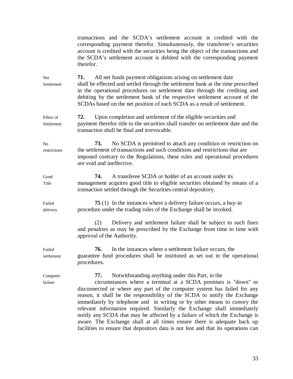transactions and the SCDA's settlement account is credited with the corresponding payment therefor. Simultaneously, the transferee's securities account is credited with the securities being the object of the transactions and the SCDA's settlement account is debited with the corresponding payment therefor. Net **71.** All net funds payment obligations arising on settlement date Settlement shall be effected and settled through the settlement bank at the time prescribed in the operational procedures on settlement date through the crediting and debiting by the settlement bank of the respective settlement account of the SCDAs based on the net position of each SCDA as a result of settlement. Effect of **72.** Upon completion and settlement of the eligible securities and Settlement payment therefor title to the securities shall transfer on settlement date and the transaction shall be final and irrevocable. No **73.** No SCDA is permitted to attach any condition or restriction on restrictions the settlement of transactions and such conditions and restrictions that are imposed contrary to the Regulations, these rules and operational procedures are void and ineffective. Good **74.** A transferee SCDA or holder of an account under its Title management acquires good title to eligible securities obtained by means of a transaction settled through the Securities central depository. Failed **75** (1) In the instances where a delivery failure occurs, a buy-in delivery procedure under the trading rules of the Exchange shall be invoked. (2) Delivery and settlement failure shall be subject to such fines and penalties as may be prescribed by the Exchange from time to time with approval of the Authority. Failed **76.** In the instances where a settlement failure occurs, the settlement guarantee fund procedures shall be instituted as set out in the operational procedures. Computer **77.** Notwithstanding anything under this Part, in the failure circumstances where a terminal at a SCDA premises is "down" or disconnected or where any part of the computer system has failed for any reason, it shall be the responsibility of the SCDA to notify the Exchange immediately by telephone and in writing or by other means to convey the relevant information required. Similarly the Exchange shall immediately notify any SCDA that may be affected by a failure of which the Exchange is aware. The Exchange shall at all times ensure there is adequate back up facilities to ensure that depositors data is not lost and that its operations can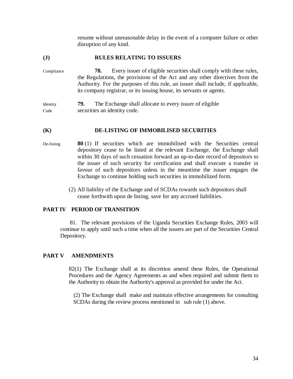resume without unreasonable delay in the event of a computer failure or other disruption of any kind.

## **(J) RULES RELATING TO ISSUERS**

Compliance **78.** Every issuer of eligible securities shall comply with these rules, the Regulations, the provisions of the Act and any other directives from the Authority. For the purposes of this rule, an issuer shall include, if applicable, its company registrar, or its issuing house, its servants or agents.

Identity **79.** The Exchange shall allocate to every issuer of eligible Code securities an identity code.

#### **(K) DE-LISTING OF IMMOBILISED SECURITIES**

- De-listing **80** (1) If securities which are immobilised with the Securities central depository cease to be listed at the relevant Exchange, the Exchange shall within 30 days of such cessation forward an up-to-date record of depositors to the issuer of such security for certification and shall execute a transfer in favour of such depositors unless in the meantime the issuer engages the Exchange to continue holding such securities in immobilized form.
	- (2) All liability of the Exchange and of SCDAs towards such depositors shall cease forthwith upon de listing, save for any accrued liabilities.

#### **PART IV PERIOD OF TRANSITION**

81. The relevant provisions of the Uganda Securities Exchange Rules, 2003 will continue to apply until such a time when all the issuers are part of the Securities Central Depository.

# **PART V AMENDMENTS**

82(1) The Exchange shall at its discretion amend these Rules, the Operational Procedures and the Agency Agreements as and when required and submit them to the Authority to obtain the Authority's approval as provided for under the Act.

 (2) The Exchange shall make and maintain effective arrangements for consulting SCDAs during the review process mentioned in sub rule (1) above.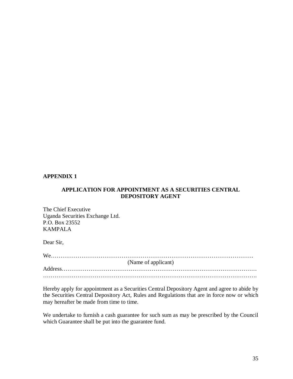## **APPENDIX 1**

# **APPLICATION FOR APPOINTMENT AS A SECURITIES CENTRAL DEPOSITORY AGENT**

The Chief Executive Uganda Securities Exchange Ltd. P.O. Box 23552 KAMPALA

Dear Sir,

| (Name of applicant) |
|---------------------|
|                     |
|                     |

Hereby apply for appointment as a Securities Central Depository Agent and agree to abide by the Securities Central Depository Act, Rules and Regulations that are in force now or which may hereafter be made from time to time.

We undertake to furnish a cash guarantee for such sum as may be prescribed by the Council which Guarantee shall be put into the guarantee fund.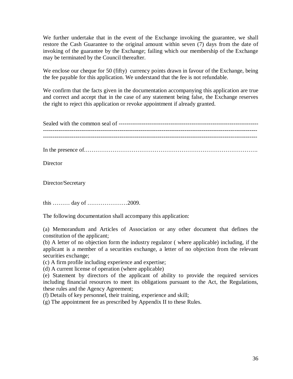We further undertake that in the event of the Exchange invoking the guarantee, we shall restore the Cash Guarantee to the original amount within seven (7) days from the date of invoking of the guarantee by the Exchange; failing which our membership of the Exchange may be terminated by the Council thereafter.

We enclose our cheque for 50 (fifty) currency points drawn in favour of the Exchange, being the fee payable for this application. We understand that the fee is not refundable.

We confirm that the facts given in the documentation accompanying this application are true and correct and accept that in the case of any statement being false, the Exchange reserves the right to reject this application or revoke appointment if already granted.

Sealed with the common seal of ------------------------------------------------------------------------- ----------------------------------------------------------------------------------------------------------------

In the presence of……………………………………………………………………………….

**Director** 

Director/Secretary

this ……… day of …………………2009.

The following documentation shall accompany this application:

(a) Memorandum and Articles of Association or any other document that defines the constitution of the applicant;

(b) A letter of no objection form the industry regulator ( where applicable) including, if the applicant is a member of a securities exchange, a letter of no objection from the relevant securities exchange;

(c) A firm profile including experience and expertise;

(d) A current license of operation (where applicable)

(e) Statement by directors of the applicant of ability to provide the required services including financial resources to meet its obligations pursuant to the Act, the Regulations, these rules and the Agency Agreement;

(f) Details of key personnel, their training, experience and skill;

(g) The appointment fee as prescribed by Appendix II to these Rules.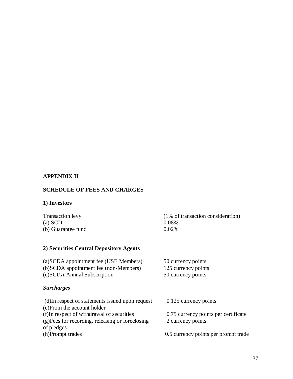# **APPENDIX II**

# **SCHEDULE OF FEES AND CHARGES**

# **1) Investors**

| Transaction levy   | (1% of transaction consideration) |
|--------------------|-----------------------------------|
| $(a)$ SCD          | 0.08%                             |
| (b) Guarantee fund | $0.02\%$                          |

# **2) Securities Central Depository Agents**

| (a) SCDA appointment fee (USE Members) | 50 currency points  |
|----------------------------------------|---------------------|
| (b)SCDA appointment fee (non-Members)  | 125 currency points |
| (c) SCDA Annual Subscription           | 50 currency points  |

# *Surcharges*

| (d) In respect of statements issued upon request | 0.125 currency points                |
|--------------------------------------------------|--------------------------------------|
| (e) From the account holder                      |                                      |
| (f)In respect of withdrawal of securities        | 0.75 currency points per certificate |
| (g) Fees for recording, releasing or foreclosing | 2 currency points                    |
| of pledges                                       |                                      |
| (h)Prompt trades                                 | 0.5 currency points per prompt trade |
|                                                  |                                      |